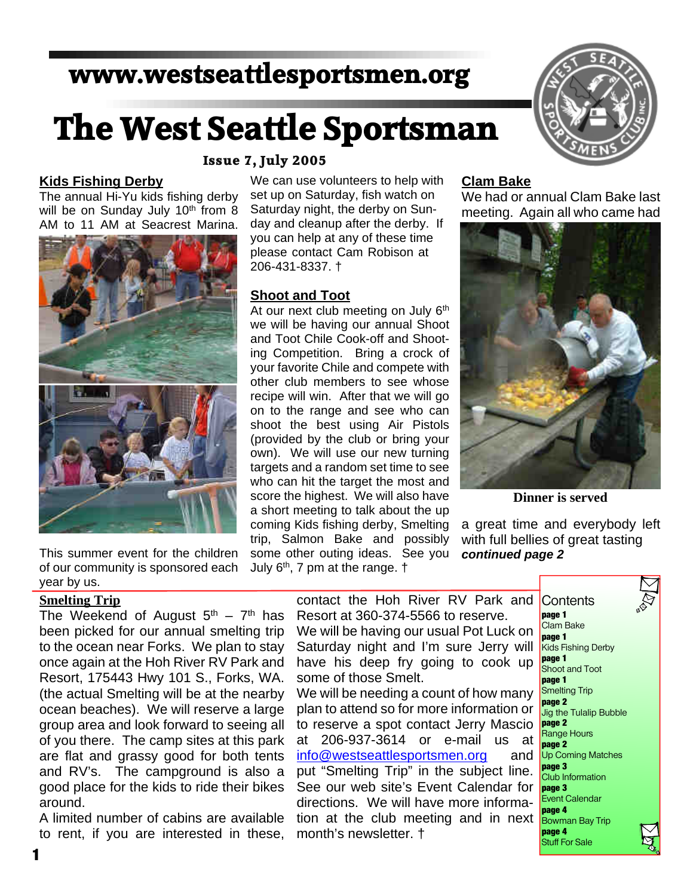# **www.westseattlesportsmen.org**

# **The West Seattle Sportsman**

#### **Kids Fishing Derby**

The annual Hi-Yu kids fishing derby will be on Sunday July 10<sup>th</sup> from 8 AM to 11 AM at Seacrest Marina.



This summer event for the children of our community is sponsored each year by us.

#### **Smelting Trip**

The Weekend of August  $5<sup>th</sup> - 7<sup>th</sup>$  has been picked for our annual smelting trip to the ocean near Forks. We plan to stay once again at the Hoh River RV Park and Resort, 175443 Hwy 101 S., Forks, WA. (the actual Smelting will be at the nearby ocean beaches). We will reserve a large group area and look forward to seeing all of you there. The camp sites at this park are flat and grassy good for both tents and RV's. The campground is also a good place for the kids to ride their bikes around.

A limited number of cabins are available to rent, if you are interested in these,

#### **Issue 7, July 2005**

We can use volunteers to help with set up on Saturday, fish watch on Saturday night, the derby on Sunday and cleanup after the derby. If you can help at any of these time please contact Cam Robison at 206-431-8337. †

#### **Shoot and Toot**

At our next club meeting on July 6<sup>th</sup> we will be having our annual Shoot and Toot Chile Cook-off and Shooting Competition. Bring a crock of your favorite Chile and compete with other club members to see whose recipe will win. After that we will go on to the range and see who can shoot the best using Air Pistols (provided by the club or bring your own). We will use our new turning targets and a random set time to see who can hit the target the most and score the highest. We will also have a short meeting to talk about the up coming Kids fishing derby, Smelting trip, Salmon Bake and possibly some other outing ideas. See you July  $6<sup>th</sup>$ , 7 pm at the range.  $\dagger$ 



#### **Clam Bake**

We had or annual Clam Bake last meeting. Again all who came had



**Dinner is served**

a great time and everybody left with full bellies of great tasting *continued page 2*

contact the Hoh River RV Park and Resort at 360-374-5566 to reserve. We will be having our usual Pot Luck on Saturday night and I'm sure Jerry will have his deep fry going to cook up some of those Smelt. We will be needing a count of how many plan to attend so for more information or to reserve a spot contact Jerry Mascio at 206-937-3614 or e-mail us at info@westseattlesportsmen.org and put "Smelting Trip" in the subject line. See our web site's Event Calendar for

directions. We will have more information at the club meeting and in next month's newsletter. †

**Contents page 1** Clam Bake **page 1** Kids Fishing Derby **page 1** Shoot and Toot **page 1** Smelting Trip **page 2** Jig the Tulalip Bubble **page 2** Range Hours **page 2** Up Coming Matches **page 3** Club Information **page 3** Event Calendar **page 4** Bowman Bay Trip **page 4** Stuff For Sale



**1**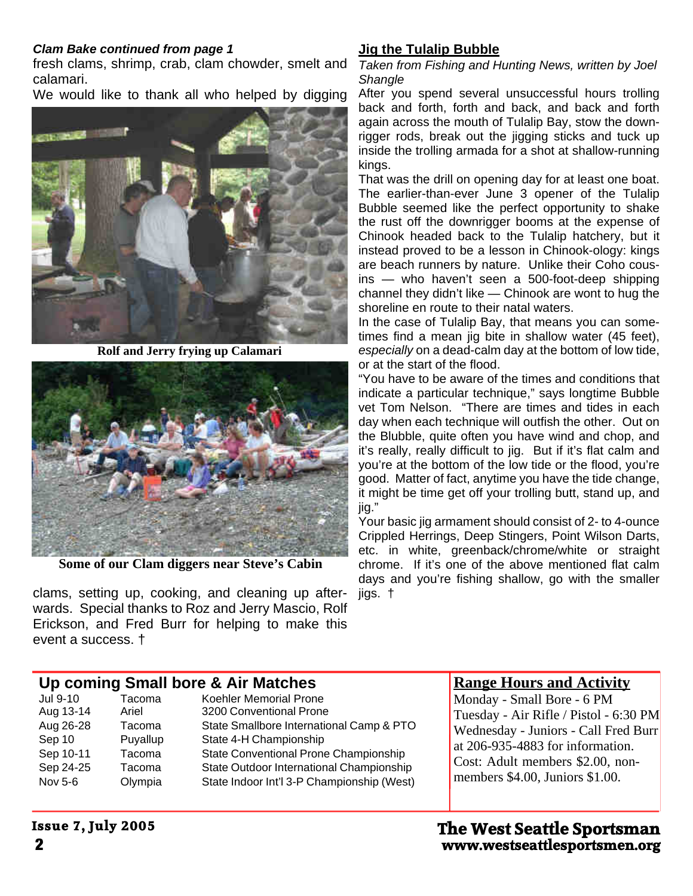#### *Clam Bake continued from page 1*

fresh clams, shrimp, crab, clam chowder, smelt and Taken from Fishing and Hunting News, written by Joel calamari.

We would like to thank all who helped by digging



**Rolf and Jerry frying up Calamari**



**Some of our Clam diggers near Steve's Cabin**

clams, setting up, cooking, and cleaning up afterwards. Special thanks to Roz and Jerry Mascio, Rolf Erickson, and Fred Burr for helping to make this event a success. †

#### **Jig the Tulalip Bubble**

*Shangle*

After you spend several unsuccessful hours trolling back and forth, forth and back, and back and forth again across the mouth of Tulalip Bay, stow the downrigger rods, break out the jigging sticks and tuck up inside the trolling armada for a shot at shallow-running kings.

That was the drill on opening day for at least one boat. The earlier-than-ever June 3 opener of the Tulalip Bubble seemed like the perfect opportunity to shake the rust off the downrigger booms at the expense of Chinook headed back to the Tulalip hatchery, but it instead proved to be a lesson in Chinook-ology: kings are beach runners by nature. Unlike their Coho cousins — who haven't seen a 500-foot-deep shipping channel they didn't like — Chinook are wont to hug the shoreline en route to their natal waters.

In the case of Tulalip Bay, that means you can sometimes find a mean jig bite in shallow water (45 feet), *especially* on a dead-calm day at the bottom of low tide, or at the start of the flood.

"You have to be aware of the times and conditions that indicate a particular technique," says longtime Bubble vet Tom Nelson. "There are times and tides in each day when each technique will outfish the other. Out on the Blubble, quite often you have wind and chop, and it's really, really difficult to jig. But if it's flat calm and you're at the bottom of the low tide or the flood, you're good. Matter of fact, anytime you have the tide change, it might be time get off your trolling butt, stand up, and jig."

Your basic jig armament should consist of 2- to 4-ounce Crippled Herrings, Deep Stingers, Point Wilson Darts, etc. in white, greenback/chrome/white or straight chrome. If it's one of the above mentioned flat calm days and you're fishing shallow, go with the smaller jigs. †

#### **Up coming Small bore & Air Matches**

| Jul 9-10  | Tacoma   | Koehler Memorial Prone                     |
|-----------|----------|--------------------------------------------|
| Aug 13-14 | Ariel    | 3200 Conventional Prone                    |
| Aug 26-28 | Tacoma   | State Smallbore International Camp & PTO   |
| Sep 10    | Puyallup | State 4-H Championship                     |
| Sep 10-11 | Tacoma   | State Conventional Prone Championship      |
| Sep 24-25 | Tacoma   | State Outdoor International Championship   |
| Nov 5-6   | Olympia  | State Indoor Int'l 3-P Championship (West) |
|           |          |                                            |

#### **Range Hours and Activity**

Monday - Small Bore - 6 PM Tuesday - Air Rifle / Pistol - 6:30 PM Wednesday - Juniors - Call Fred Burr at 206-935-4883 for information. Cost: Adult members \$2.00, nonmembers \$4.00, Juniors \$1.00.

#### **Issue 7, July 2005**

**2 www.westseattlesportsmen.org The West Seattle Sportsman**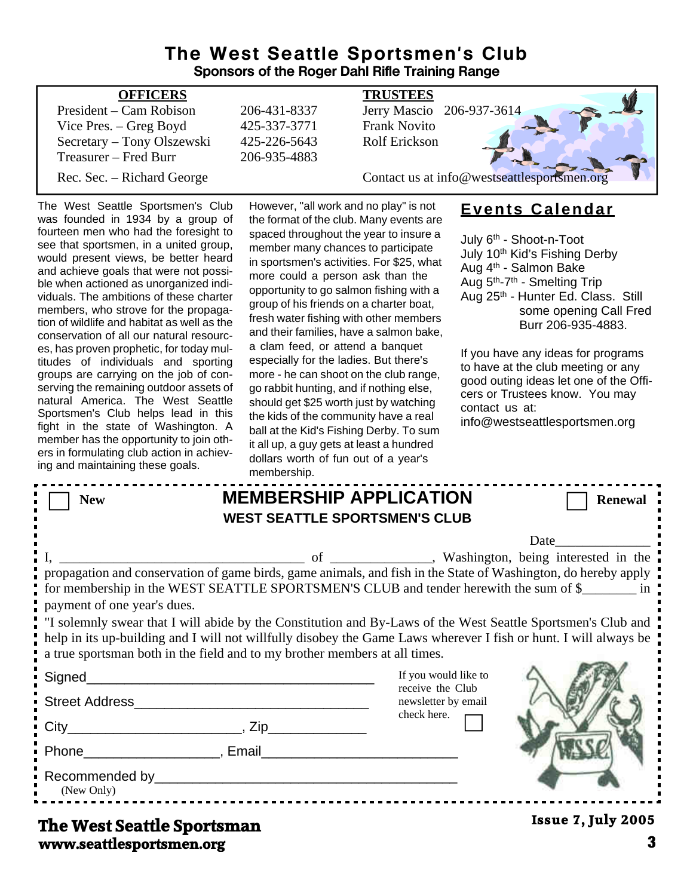#### **The West Seattle Sportsmen's Club Sponsors of the Roger Dahl Rifle Training Range**

| <b>OFFICERS</b>            |              | <b>TRUSTEES</b>                             |
|----------------------------|--------------|---------------------------------------------|
| President – Cam Robison    | 206-431-8337 | Jerry Mascio 206-937-3614                   |
| Vice Pres. – Greg Boyd     | 425-337-3771 | <b>Frank Novito</b>                         |
| Secretary - Tony Olszewski | 425-226-5643 | <b>Rolf Erickson</b>                        |
| Treasurer – Fred Burr      | 206-935-4883 |                                             |
| Rec. Sec. – Richard George |              | Contact us at info@westseattlesportsmen.org |
|                            |              |                                             |

The West Seattle Sportsmen's Club was founded in 1934 by a group of fourteen men who had the foresight to see that sportsmen, in a united group, would present views, be better heard and achieve goals that were not possible when actioned as unorganized individuals. The ambitions of these charter members, who strove for the propagation of wildlife and habitat as well as the conservation of all our natural resources, has proven prophetic, for today multitudes of individuals and sporting groups are carrying on the job of conserving the remaining outdoor assets of natural America. The West Seattle Sportsmen's Club helps lead in this fight in the state of Washington. A member has the opportunity to join others in formulating club action in achieving and maintaining these goals.

However, "all work and no play" is not the format of the club. Many events are spaced throughout the year to insure a member many chances to participate in sportsmen's activities. For \$25, what more could a person ask than the opportunity to go salmon fishing with a group of his friends on a charter boat, fresh water fishing with other members and their families, have a salmon bake, a clam feed, or attend a banquet especially for the ladies. But there's more - he can shoot on the club range, go rabbit hunting, and if nothing else, should get \$25 worth just by watching the kids of the community have a real ball at the Kid's Fishing Derby. To sum it all up, a guy gets at least a hundred dollars worth of fun out of a year's membership

### **Events Calendar**

July 6<sup>th</sup> - Shoot-n-Toot July 10<sup>th</sup> Kid's Fishing Derby Aug 4th - Salmon Bake Aug 5th-7th - Smelting Trip Aug 25<sup>th</sup> - Hunter Ed. Class. Still some opening Call Fred Burr 206-935-4883.

If you have any ideas for programs to have at the club meeting or any good outing ideas let one of the Officers or Trustees know. You may contact us at: info@westseattlesportsmen.org

|                                                                                                                                                                                                                                | membership. |                                                                                                                                                                                                                                                                                                                                                                                                                                             |                           |
|--------------------------------------------------------------------------------------------------------------------------------------------------------------------------------------------------------------------------------|-------------|---------------------------------------------------------------------------------------------------------------------------------------------------------------------------------------------------------------------------------------------------------------------------------------------------------------------------------------------------------------------------------------------------------------------------------------------|---------------------------|
| <b>New</b>                                                                                                                                                                                                                     |             | <b>MEMBERSHIP APPLICATION</b>                                                                                                                                                                                                                                                                                                                                                                                                               | <b>Renewal</b>            |
|                                                                                                                                                                                                                                |             | <b>WEST SEATTLE SPORTSMEN'S CLUB</b>                                                                                                                                                                                                                                                                                                                                                                                                        |                           |
|                                                                                                                                                                                                                                |             |                                                                                                                                                                                                                                                                                                                                                                                                                                             | Date                      |
| payment of one year's dues.<br>a true sportsman both in the field and to my brother members at all times.                                                                                                                      |             | propagation and conservation of game birds, game animals, and fish in the State of Washington, do hereby apply<br>for membership in the WEST SEATTLE SPORTSMEN'S CLUB and tender herewith the sum of \$<br>If solemnly swear that I will abide by the Constitution and By-Laws of the West Seattle Sportsmen's Club and<br>help in its up-building and I will not willfully disobey the Game Laws wherever I fish or hunt. I will always be |                           |
|                                                                                                                                                                                                                                |             | If you would like to                                                                                                                                                                                                                                                                                                                                                                                                                        |                           |
|                                                                                                                                                                                                                                |             | receive the Club<br>newsletter by email<br>check here.                                                                                                                                                                                                                                                                                                                                                                                      |                           |
|                                                                                                                                                                                                                                |             |                                                                                                                                                                                                                                                                                                                                                                                                                                             |                           |
| Phone Reserves and Phone Reserves and Phone Reserves and Phone Reserves and Phone Reserves and Phone Reserves and Phone Reserves and Phone Reserves and Phone Reserves and Phone Reserves and Phone Reserves and Phone Reserve |             |                                                                                                                                                                                                                                                                                                                                                                                                                                             |                           |
| (New Only)                                                                                                                                                                                                                     |             |                                                                                                                                                                                                                                                                                                                                                                                                                                             |                           |
| The West Seattle Snortsman                                                                                                                                                                                                     |             |                                                                                                                                                                                                                                                                                                                                                                                                                                             | <b>Issue 7, July 2005</b> |

#### **www.seattlesportsmen.org 3 The West Seattle Sportsman**